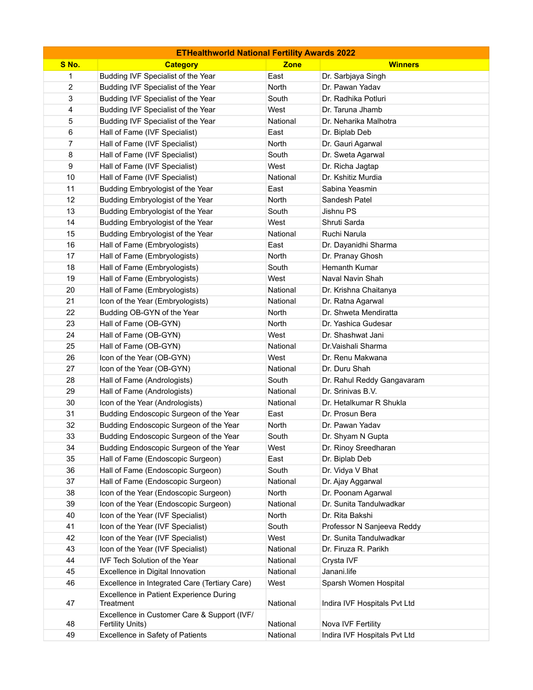| <b>ETHealthworld National Fertility Awards 2022</b> |                                                                 |             |                              |  |
|-----------------------------------------------------|-----------------------------------------------------------------|-------------|------------------------------|--|
| S No.                                               | <b>Category</b>                                                 | <b>Zone</b> | <b>Winners</b>               |  |
| 1                                                   | Budding IVF Specialist of the Year                              | East        | Dr. Sarbjaya Singh           |  |
| 2                                                   | Budding IVF Specialist of the Year                              | North       | Dr. Pawan Yadav              |  |
| 3                                                   | Budding IVF Specialist of the Year                              | South       | Dr. Radhika Potluri          |  |
| 4                                                   | Budding IVF Specialist of the Year                              | West        | Dr. Taruna Jhamb             |  |
| 5                                                   | Budding IVF Specialist of the Year                              | National    | Dr. Neharika Malhotra        |  |
| 6                                                   | Hall of Fame (IVF Specialist)                                   | East        | Dr. Biplab Deb               |  |
| 7                                                   | Hall of Fame (IVF Specialist)                                   | North       | Dr. Gauri Agarwal            |  |
| 8                                                   | Hall of Fame (IVF Specialist)                                   | South       | Dr. Sweta Agarwal            |  |
| 9                                                   | Hall of Fame (IVF Specialist)                                   | West        | Dr. Richa Jagtap             |  |
| 10                                                  | Hall of Fame (IVF Specialist)                                   | National    | Dr. Kshitiz Murdia           |  |
| 11                                                  | Budding Embryologist of the Year                                | East        | Sabina Yeasmin               |  |
| 12                                                  | Budding Embryologist of the Year                                | North       | Sandesh Patel                |  |
| 13                                                  | Budding Embryologist of the Year                                | South       | Jishnu PS                    |  |
| 14                                                  | Budding Embryologist of the Year                                | West        | Shruti Sarda                 |  |
| 15                                                  | Budding Embryologist of the Year                                | National    | Ruchi Narula                 |  |
| 16                                                  | Hall of Fame (Embryologists)                                    | East        | Dr. Dayanidhi Sharma         |  |
| 17                                                  | Hall of Fame (Embryologists)                                    | North       | Dr. Pranay Ghosh             |  |
| 18                                                  | Hall of Fame (Embryologists)                                    | South       | Hemanth Kumar                |  |
| 19                                                  | Hall of Fame (Embryologists)                                    | West        | Naval Navin Shah             |  |
| 20                                                  | Hall of Fame (Embryologists)                                    | National    | Dr. Krishna Chaitanya        |  |
| 21                                                  | Icon of the Year (Embryologists)                                | National    | Dr. Ratna Agarwal            |  |
| 22                                                  | Budding OB-GYN of the Year                                      | North       | Dr. Shweta Mendiratta        |  |
| 23                                                  | Hall of Fame (OB-GYN)                                           | North       | Dr. Yashica Gudesar          |  |
| 24                                                  | Hall of Fame (OB-GYN)                                           | West        | Dr. Shashwat Jani            |  |
| 25                                                  | Hall of Fame (OB-GYN)                                           | National    | Dr. Vaishali Sharma          |  |
| 26                                                  | Icon of the Year (OB-GYN)                                       | West        | Dr. Renu Makwana             |  |
| 27                                                  | Icon of the Year (OB-GYN)                                       | National    | Dr. Duru Shah                |  |
| 28                                                  | Hall of Fame (Andrologists)                                     | South       | Dr. Rahul Reddy Gangavaram   |  |
| 29                                                  | Hall of Fame (Andrologists)                                     | National    | Dr. Srinivas B.V.            |  |
| 30                                                  | Icon of the Year (Andrologists)                                 | National    | Dr. Hetalkumar R Shukla      |  |
| 31                                                  | Budding Endoscopic Surgeon of the Year                          | East        | Dr. Prosun Bera              |  |
| 32                                                  | Budding Endoscopic Surgeon of the Year                          | North       | Dr. Pawan Yadav              |  |
| 33                                                  | Budding Endoscopic Surgeon of the Year                          | South       | Dr. Shyam N Gupta            |  |
| 34                                                  | Budding Endoscopic Surgeon of the Year                          | West        | Dr. Rinoy Sreedharan         |  |
| 35                                                  | Hall of Fame (Endoscopic Surgeon)                               | East        | Dr. Biplab Deb               |  |
| 36                                                  | Hall of Fame (Endoscopic Surgeon)                               | South       | Dr. Vidya V Bhat             |  |
| 37                                                  | Hall of Fame (Endoscopic Surgeon)                               | National    | Dr. Ajay Aggarwal            |  |
| 38                                                  | Icon of the Year (Endoscopic Surgeon)                           | North       | Dr. Poonam Agarwal           |  |
| 39                                                  | Icon of the Year (Endoscopic Surgeon)                           | National    | Dr. Sunita Tandulwadkar      |  |
| 40                                                  | Icon of the Year (IVF Specialist)                               | North       | Dr. Rita Bakshi              |  |
| 41                                                  | Icon of the Year (IVF Specialist)                               | South       | Professor N Sanjeeva Reddy   |  |
| 42                                                  | Icon of the Year (IVF Specialist)                               | West        | Dr. Sunita Tandulwadkar      |  |
| 43                                                  | Icon of the Year (IVF Specialist)                               | National    | Dr. Firuza R. Parikh         |  |
| 44                                                  | IVF Tech Solution of the Year                                   | National    | Crysta IVF                   |  |
| 45                                                  | Excellence in Digital Innovation                                | National    | Janani.life                  |  |
| 46                                                  | Excellence in Integrated Care (Tertiary Care)                   | West        | Sparsh Women Hospital        |  |
| 47                                                  | Excellence in Patient Experience During<br>Treatment            | National    | Indira IVF Hospitals Pvt Ltd |  |
| 48                                                  | Excellence in Customer Care & Support (IVF/<br>Fertility Units) | National    | Nova IVF Fertility           |  |
| 49                                                  | Excellence in Safety of Patients                                | National    | Indira IVF Hospitals Pvt Ltd |  |